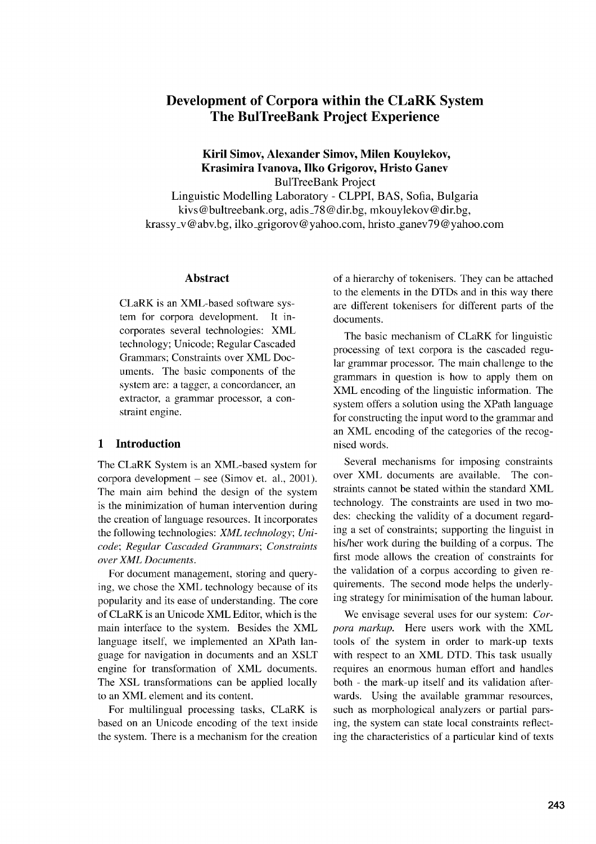# **Development of Corpora within the CLaRK System The BulTreeBank Project Experience**

#### **Kiril Simov, Alexander Simov, Milen Kouylekov, Krasimira Ivanova, Ilko Grigorov, Hristo Ganev** BulTreeBank Project

Linguistic Modelling Laboratory - CLPPI, BAS, Sofia, Bulgaria kivs@bultreebank.org, adis\_78@dir.bg, mkouylekov@dir.bg, krassy\_v@abv.bg, ilko\_grigorov@yahoo.com, hristo\_ganev79@yahoo.com

#### **Abstract**

CLaRK is an XML-based software system for corpora development. It incorporates several technologies: XML technology; Unicode; Regular Cascaded Grammars; Constraints over XML Documents. The basic components of the system are: a tagger, a concordancer, an extractor, a grammar processor, a constraint engine.

#### **1 Introduction**

The CLaRK System is an XML-based system for corpora development — see (Simov et. al., 2001). The main aim behind the design of the system is the minimization of human intervention during the creation of language resources. It incorporates the following technologies: *XML technology; Unicode; Regular Cascaded Grammars; Constraints over XML Documents.*

For document management, storing and querying, we chose the XML technology because of its popularity and its ease of understanding. The core of CLaRK is an Unicode XML Editor, which is the main interface to the system. Besides the XML language itself, we implemented an XPath language for navigation in documents and an XSLT engine for transformation of XML documents. The XSL transformations can be applied locally to an XML element and its content.

For multilingual processing tasks, CLaRK is based on an Unicode encoding of the text inside the system. There is a mechanism for the creation of a hierarchy of tokenisers. They can be attached to the elements in the DTDs and in this way there are different tokenisers for different parts of the documents.

The basic mechanism of CLaRK for linguistic processing of text corpora is the cascaded regular grammar processor. The main challenge to the grammars in question is how to apply them on XML encoding of the linguistic information. The system offers a solution using the XPath language for constructing the input word to the grammar and an XML encoding of the categories of the recognised words.

Several mechanisms for imposing constraints over XML documents are available. The constraints cannot be stated within the standard XML technology. The constraints are used in two modes: checking the validity of a document regarding a set of constraints; supporting the linguist in his/her work during the building of a corpus. The first mode allows the creation of constraints for the validation of a corpus according to given requirements. The second mode helps the underlying strategy for minimisation of the human labour.

We envisage several uses for our system: *Corpora markup.* Here users work with the XML tools of the system in order to mark-up texts with respect to an XML DTD. This task usually requires an enormous human effort and handles both - the mark-up itself and its validation afterwards. Using the available grammar resources, such as morphological analyzers or partial parsing, the system can state local constraints reflecting the characteristics of a particular kind of texts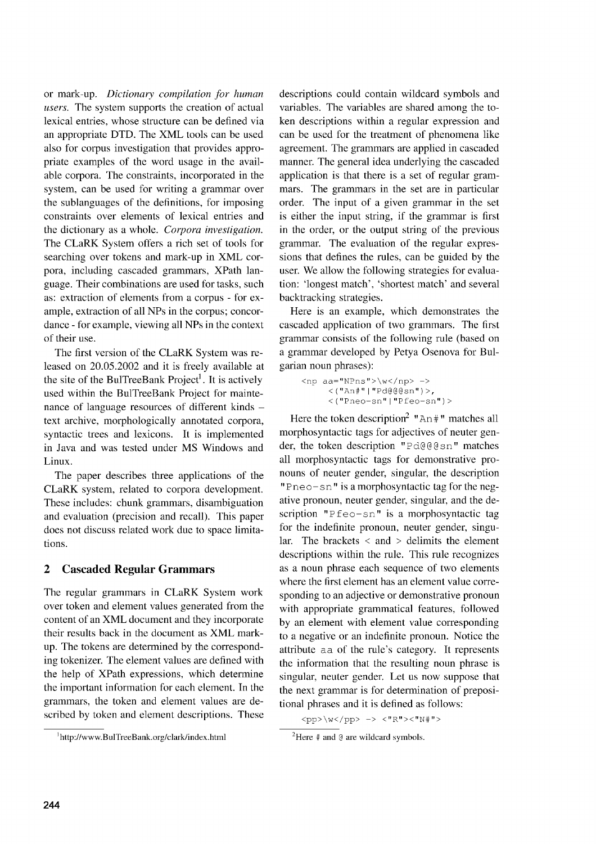or mark-up. *Dictionary compilation for human users.* The system supports the creation of actual lexical entries, whose structure can be defined via an appropriate DTD. The XML tools can be used also for corpus investigation that provides appropriate examples of the word usage in the available corpora. The constraints, incorporated in the system, can be used for writing a grammar over the sublanguages of the definitions, for imposing constraints over elements of lexical entries and the dictionary as a whole. *Corpora investigation.* The CLaRK System offers a rich set of tools for searching over tokens and mark-up in XML corpora, including cascaded grammars, XPath language. Their combinations are used for tasks, such as: extraction of elements from a corpus - for example, extraction of all NPs in the corpus; concordance - for example, viewing all NPs in the context of their use.

The first version of the CLaRK System was released on 20.05.2002 and it is freely available at the site of the BulTreeBank Project<sup>1</sup>. It is actively used within the BulTreeBank Project for maintenance of language resources of different kinds text archive, morphologically annotated corpora, syntactic trees and lexicons. It is implemented in Java and was tested under MS Windows and Linux.

The paper describes three applications of the CLaRK system, related to corpora development. These includes: chunk grammars, disambiguation and evaluation (precision and recall). This paper does not discuss related work due to space limitations.

## 2 Cascaded Regular Grammars

The regular grammars in CLaRK System work over token and element values generated from the content of an XML document and they incorporate their results back in the document as XML markup. The tokens are determined by the corresponding tokenizer. The element values are defined with the help of XPath expressions, which determine the important information for each element. In the grammars, the token and element values are described by token and element descriptions. These descriptions could contain wildcard symbols and variables. The variables are shared among the token descriptions within a regular expression and can be used for the treatment of phenomena like agreement. The grammars are applied in cascaded manner. The general idea underlying the cascaded application is that there is a set of regular grammars. The grammars in the set are in particular order. The input of a given grammar in the set is either the input string, if the grammar is first in the order, or the output string of the previous grammar. The evaluation of the regular expressions that defines the rules, can be guided by the user. We allow the following strategies for evaluation: 'longest match', 'shortest match' and several backtracking strategies.

Here is an example, which demonstrates the cascaded application of two grammars. The first grammar consists of the following rule (based on a grammar developed by Petya Osenova for Bulgarian noun phrases):

```
\langlenp aa="NPns">\w</np> ->
     < ("An#"|"Pd@@@sn")>,
     <("Pneo-sn"I"Pfeo-sn")>
```
Here the token description<sup>2</sup> " $An \#$ " matches all morphosyntactic tags for adjectives of neuter gender, the token description "Pd@@gsn" matches all morphosyntactic tags for demonstrative pronouns of neuter gender, singular, the description "Pneo-sn" is a morphosyntactic tag for the negative pronoun, neuter gender, singular, and the description "Pfeo—sn" is a morphosyntactic tag for the indefinite pronoun, neuter gender, singular. The brackets  $\langle$  and  $\rangle$  delimits the element descriptions within the rule. This rule recognizes as a noun phrase each sequence of two elements where the first element has an element value corresponding to an adjective or demonstrative pronoun with appropriate grammatical features, followed by an element with element value corresponding to a negative or an indefinite pronoun. Notice the attribute aa of the rule's category. It represents the information that the resulting noun phrase is singular, neuter gender. Let us now suppose that the next grammar is for determination of prepositional phrases and it is defined as follows:

<Pp>AW</p1D> -> *‹"R"›<"N#"›*

<sup>&</sup>lt;sup>1</sup>http://www.BulTreeBank.org/clark/index.html

<sup>&</sup>lt;sup>2</sup>Here  $#$  and  $@$  are wildcard symbols.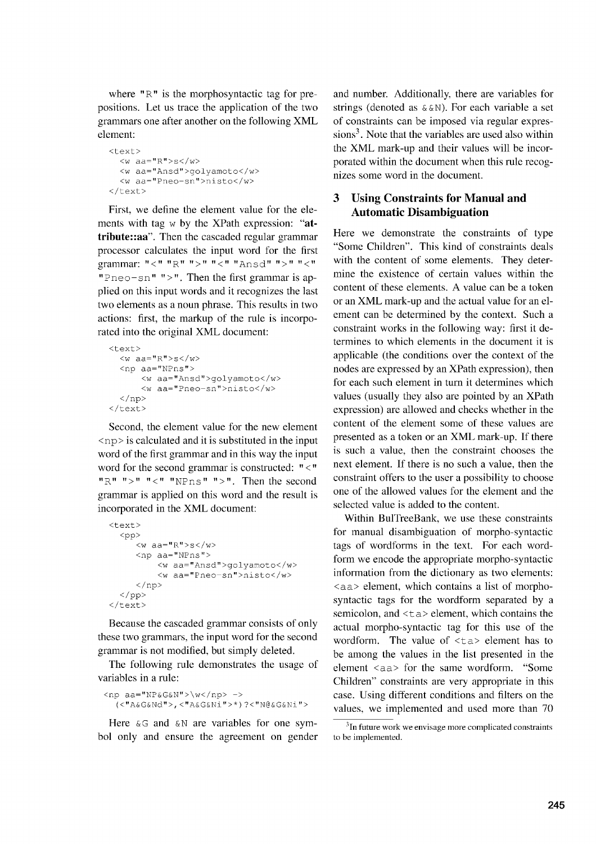where " $R$ " is the morphosyntactic tag for prepositions. Let us trace the application of the two grammars one after another on the following XML element:

```
<text>
  <w aa="R">s</w>
  <w aa="Ansd">golyamoto</w>
  <w aa="Pneo-sn">nisto</w>
\langle/text>
```
First, we define the element value for the elements with tag w by the XPath expression: **"attribute::aa".** Then the cascaded regular grammar processor calculates the input word for the first grammar: "<" "R" ">" "<" "Ansd" ">" "<" "Pneo-sn" ">". Then the first grammar is applied on this input words and it recognizes the last two elements as a noun phrase. This results in two actions: first, the markup of the rule is incorporated into the original XML document:

```
<text>
  <w aa="R">s</w>
  <np aa="NPns"›
      <w aa="Ansd">golyamoto</w>
      <w aa="Pneo-sn">nisto</w>
  \langlenp>
\langle/text>
```
Second, the element value for the new element <np> is calculated and it is substituted in the input word of the first grammar and in this way the input word for the second grammar is constructed: "<" " $R$ " " $>$ " " $<$ " " $NPns$ " " $>$ ". Then the second grammar is applied on this word and the result is incorporated in the XML document:

```
<text>
   <pp>
      \langle w \rangle aa="R">s\langle w \rangle<np aa="NPns"›
            <w aa="Ansd">golyamoto</w>
            <w aa="Pneo-sn">nisto</w>
       \langle/np>
  \langle/pp>
\langle/text>
```
Because the cascaded grammar consists of only these two grammars, the input word for the second grammar is not modified, but simply deleted.

The following rule demonstrates the usage of variables in a rule:

```
<np aa="NP&G&N">\w</np> ->
  (<"A&G&Nd">,<"A&G&Ni">*)?<"N@&G&Ni">
```
Here  $\&G$  and  $&N$  are variables for one symbol only and ensure the agreement on gender

and number. Additionally, there are variables for strings (denoted as  $\&\&N$ ). For each variable a set of constraints can be imposed via regular expres $sions<sup>3</sup>$ . Note that the variables are used also within the XML mark-up and their values will be incorporated within the document when this rule recognizes some word in the document.

## **3 Using Constraints for Manual and Automatic Disambiguation**

Here we demonstrate the constraints of type "Some Children". This kind of constraints deals with the content of some elements. They determine the existence of certain values within the content of these elements. A value can be a token or an XML mark-up and the actual value for an element can be determined by the context. Such a constraint works in the following way: first it determines to which elements in the document it is applicable (the conditions over the context of the nodes are expressed by an XPath expression), then for each such element in turn it determines which values (usually they also are pointed by an XPath expression) are allowed and checks whether in the content of the element some of these values are presented as a token or an XML mark-up. If there is such a value, then the constraint chooses the next element. If there is no such a value, then the constraint offers to the user a possibility to choose one of the allowed values for the element and the selected value is added to the content.

Within BulTreeBank, we use these constraints for manual disambiguation of morpho-syntactic tags of wordforms in the text. For each wordform we encode the appropriate morpho-syntactic information from the dictionary as two elements: <aa> element, which contains a list of morphosyntactic tags for the wordform separated by a semicolon, and  $\langle \text{t a} \rangle$  element, which contains the actual morpho-syntactic tag for this use of the wordform. The value of  $\langle \text{ta} \rangle$  element has to be among the values in the list presented in the element <aa> for the same wordform. "Some Children" constraints are very appropriate in this case. Using different conditions and filters on the values, we implemented and used more than 70

 $3$ In future work we envisage more complicated constraints to be implemented.